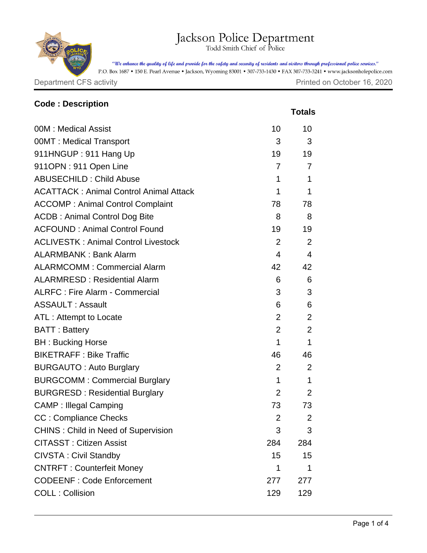## Jackson Police Department

"We enhance the quality of life and provide for the safety and security of residents and visitors through professional police services."

P.O. Box 1687 • 150 E. Pearl Avenue • Jackson, Wyoming 83001 • 307-733-1430 • FAX 307-733-3241 • www.jacksonholepolice.com

Department CFS activity **Department CFS** activity

| <b>Code: Description</b>                      |                |                |
|-----------------------------------------------|----------------|----------------|
|                                               |                | <b>Totals</b>  |
| 00M: Medical Assist                           | 10             | 10             |
| 00MT: Medical Transport                       | 3              | 3              |
| 911HNGUP: 911 Hang Up                         | 19             | 19             |
| 911OPN: 911 Open Line                         | 7              | 7              |
| <b>ABUSECHILD: Child Abuse</b>                | $\mathbf 1$    | 1              |
| <b>ACATTACK: Animal Control Animal Attack</b> | $\mathbf 1$    | 1              |
| <b>ACCOMP: Animal Control Complaint</b>       | 78             | 78             |
| <b>ACDB: Animal Control Dog Bite</b>          | 8              | 8              |
| <b>ACFOUND: Animal Control Found</b>          | 19             | 19             |
| <b>ACLIVESTK: Animal Control Livestock</b>    | 2              | 2              |
| <b>ALARMBANK: Bank Alarm</b>                  | 4              | $\overline{4}$ |
| <b>ALARMCOMM: Commercial Alarm</b>            | 42             | 42             |
| <b>ALARMRESD: Residential Alarm</b>           | 6              | 6              |
| <b>ALRFC: Fire Alarm - Commercial</b>         | 3              | 3              |
| <b>ASSAULT: Assault</b>                       | 6              | 6              |
| ATL: Attempt to Locate                        | $\overline{2}$ | 2              |
| <b>BATT: Battery</b>                          | $\overline{2}$ | 2              |
| <b>BH: Bucking Horse</b>                      | $\mathbf 1$    | $\mathbf{1}$   |
| <b>BIKETRAFF: Bike Traffic</b>                | 46             | 46             |
| <b>BURGAUTO: Auto Burglary</b>                | $\overline{2}$ | 2              |
| <b>BURGCOMM: Commercial Burglary</b>          | $\mathbf 1$    | $\mathbf 1$    |
| <b>BURGRESD: Residential Burglary</b>         | 2              | 2              |
| <b>CAMP</b> : Illegal Camping                 | 73             | 73             |
| <b>CC: Compliance Checks</b>                  | 2              | 2              |
| <b>CHINS: Child in Need of Supervision</b>    | 3              | 3              |
| <b>CITASST: Citizen Assist</b>                | 284            | 284            |
| <b>CIVSTA: Civil Standby</b>                  | 15             | 15             |
| <b>CNTRFT: Counterfeit Money</b>              | 1              | 1              |
| <b>CODEENF: Code Enforcement</b>              | 277            | 277            |
| <b>COLL: Collision</b>                        | 129            | 129            |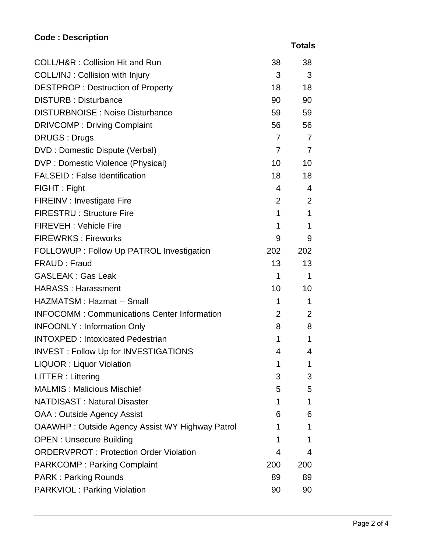## **Code : Description**

 **Totals**

| COLL/H&R: Collision Hit and Run                        | 38              | 38             |
|--------------------------------------------------------|-----------------|----------------|
| COLL/INJ: Collision with Injury                        | 3               | 3              |
| <b>DESTPROP: Destruction of Property</b>               | 18              | 18             |
| <b>DISTURB: Disturbance</b>                            | 90              | 90             |
| <b>DISTURBNOISE: Noise Disturbance</b>                 | 59              | 59             |
| <b>DRIVCOMP: Driving Complaint</b>                     | 56              | 56             |
| <b>DRUGS: Drugs</b>                                    | $\overline{7}$  | $\overline{7}$ |
| <b>DVD</b> : Domestic Dispute (Verbal)                 | $\overline{7}$  | $\overline{7}$ |
| DVP : Domestic Violence (Physical)                     | 10 <sup>°</sup> | 10             |
| <b>FALSEID: False Identification</b>                   | 18              | 18             |
| FIGHT: Fight                                           | $\overline{4}$  | $\overline{4}$ |
| FIREINV : Investigate Fire                             | $\overline{2}$  | 2              |
| <b>FIRESTRU: Structure Fire</b>                        | $\mathbf 1$     | $\mathbf 1$    |
| <b>FIREVEH: Vehicle Fire</b>                           | 1               | 1              |
| <b>FIREWRKS: Fireworks</b>                             | 9               | 9              |
| FOLLOWUP : Follow Up PATROL Investigation              | 202             | 202            |
| FRAUD: Fraud                                           | 13              | 13             |
| <b>GASLEAK: Gas Leak</b>                               | $\mathbf 1$     | 1              |
| <b>HARASS: Harassment</b>                              | 10              | 10             |
| <b>HAZMATSM: Hazmat -- Small</b>                       | 1               | 1              |
| <b>INFOCOMM: Communications Center Information</b>     | $\overline{2}$  | 2              |
| <b>INFOONLY: Information Only</b>                      | 8               | 8              |
| <b>INTOXPED: Intoxicated Pedestrian</b>                | 1               | 1              |
| <b>INVEST: Follow Up for INVESTIGATIONS</b>            | 4               | 4              |
| <b>LIQUOR: Liquor Violation</b>                        | 1               | 1              |
| LITTER: Littering                                      | 3               | 3              |
| <b>MALMIS: Malicious Mischief</b>                      | 5               | 5              |
| <b>NATDISAST: Natural Disaster</b>                     | 1               | 1              |
| OAA : Outside Agency Assist                            | 6               | 6              |
| <b>OAAWHP: Outside Agency Assist WY Highway Patrol</b> | 1               | 1              |
| <b>OPEN: Unsecure Building</b>                         | 1               | 1              |
| <b>ORDERVPROT: Protection Order Violation</b>          | 4               | 4              |
| <b>PARKCOMP: Parking Complaint</b>                     | 200             | 200            |
| <b>PARK: Parking Rounds</b>                            | 89              | 89             |
| <b>PARKVIOL: Parking Violation</b>                     | 90              | 90             |
|                                                        |                 |                |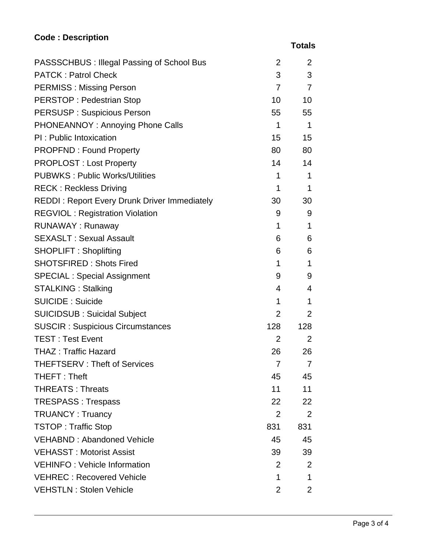## **Code : Description**

| ı<br>а<br>г.<br>ı |
|-------------------|
|-------------------|

| PASSSCHBUS : Illegal Passing of School Bus          | 2               | 2              |
|-----------------------------------------------------|-----------------|----------------|
| <b>PATCK: Patrol Check</b>                          | 3               | 3              |
| <b>PERMISS: Missing Person</b>                      | $\overline{7}$  | $\overline{7}$ |
| <b>PERSTOP: Pedestrian Stop</b>                     | 10              | 10             |
| <b>PERSUSP: Suspicious Person</b>                   | 55              | 55             |
| PHONEANNOY: Annoying Phone Calls                    | $\mathbf{1}$    | $\mathbf 1$    |
| PI: Public Intoxication                             | 15              | 15             |
| <b>PROPFND: Found Property</b>                      | 80              | 80             |
| <b>PROPLOST: Lost Property</b>                      | 14              | 14             |
| <b>PUBWKS: Public Works/Utilities</b>               | $\mathbf 1$     | $\mathbf 1$    |
| <b>RECK: Reckless Driving</b>                       | 1               | $\mathbf 1$    |
| <b>REDDI: Report Every Drunk Driver Immediately</b> | 30              | 30             |
| <b>REGVIOL: Registration Violation</b>              | 9               | 9              |
| <b>RUNAWAY: Runaway</b>                             | 1               | 1              |
| <b>SEXASLT: Sexual Assault</b>                      | 6               | 6              |
| <b>SHOPLIFT: Shoplifting</b>                        | 6               | 6              |
| <b>SHOTSFIRED: Shots Fired</b>                      | $\mathbf 1$     | $\mathbf 1$    |
| <b>SPECIAL: Special Assignment</b>                  | 9               | 9              |
| <b>STALKING: Stalking</b>                           | 4               | 4              |
| <b>SUICIDE: Suicide</b>                             | 1               | $\mathbf 1$    |
| <b>SUICIDSUB: Suicidal Subject</b>                  | $\overline{2}$  | 2              |
| <b>SUSCIR: Suspicious Circumstances</b>             | 128             | 128            |
| <b>TEST: Test Event</b>                             | $\overline{2}$  | 2              |
| <b>THAZ: Traffic Hazard</b>                         | 26              | 26             |
| <b>THEFTSERV: Theft of Services</b>                 | $\overline{7}$  | $\overline{7}$ |
| THEFT: Theft                                        | 45              | 45             |
| <b>THREATS: Threats</b>                             | 11              | 11             |
| <b>TRESPASS: Trespass</b>                           | 22 <sub>2</sub> | 22             |
| <b>TRUANCY: Truancy</b>                             | 2               | 2              |
| <b>TSTOP: Traffic Stop</b>                          | 831             | 831            |
| <b>VEHABND: Abandoned Vehicle</b>                   | 45              | 45             |
| <b>VEHASST: Motorist Assist</b>                     | 39              | 39             |
| <b>VEHINFO: Vehicle Information</b>                 | 2               | 2              |
| <b>VEHREC: Recovered Vehicle</b>                    | 1               | 1              |
| <b>VEHSTLN: Stolen Vehicle</b>                      | $\overline{2}$  | 2              |
|                                                     |                 |                |